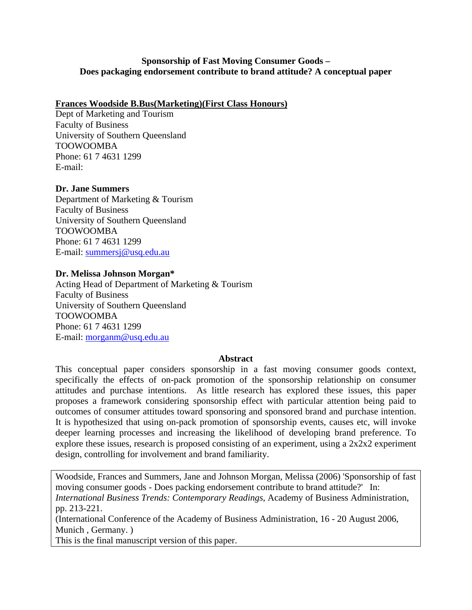# **Sponsorship of Fast Moving Consumer Goods – Does packaging endorsement contribute to brand attitude? A conceptual paper**

# **Frances Woodside B.Bus(Marketing)(First Class Honours)**

Dept of Marketing and Tourism Faculty of Business University of Southern Queensland TOOWOOMBA Phone: 61 7 4631 1299 E-mail:

# **Dr. Jane Summers**

Department of Marketing & Tourism Faculty of Business University of Southern Queensland TOOWOOMBA Phone: 61 7 4631 1299 E-mail: [summersj@usq.edu.au](mailto:summersj@usq.edu.au)

# **Dr. Melissa Johnson Morgan\***

Acting Head of Department of Marketing & Tourism Faculty of Business University of Southern Queensland TOOWOOMBA Phone: 61 7 4631 1299 E-mail: [morganm@usq.edu.au](mailto:morganm@usq.edu.au)

# **Abstract**

This conceptual paper considers sponsorship in a fast moving consumer goods context, specifically the effects of on-pack promotion of the sponsorship relationship on consumer attitudes and purchase intentions. As little research has explored these issues, this paper proposes a framework considering sponsorship effect with particular attention being paid to outcomes of consumer attitudes toward sponsoring and sponsored brand and purchase intention. It is hypothesized that using on-pack promotion of sponsorship events, causes etc, will invoke deeper learning processes and increasing the likelihood of developing brand preference. To explore these issues, research is proposed consisting of an experiment, using a 2x2x2 experiment design, controlling for involvement and brand familiarity.

Woodside, Frances and Summers, Jane and Johnson Morgan, Melissa (2006) 'Sponsorship of fast moving consumer goods - Does packing endorsement contribute to brand attitude?' In: *International Business Trends: Contemporary Readings*, Academy of Business Administration, pp. 213-221.

(International Conference of the Academy of Business Administration, 16 - 20 August 2006, Munich , Germany. )

This is the final manuscript version of this paper.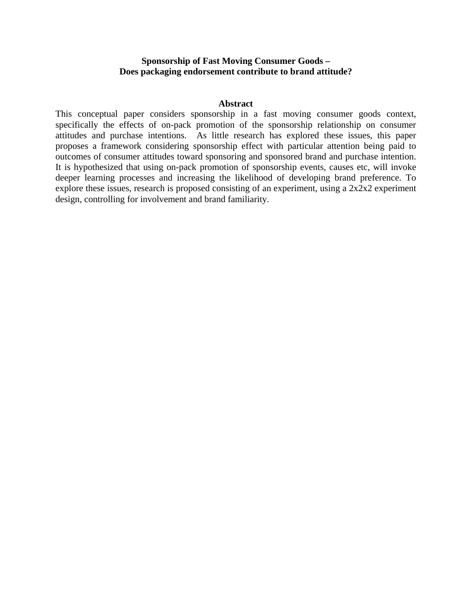### **Sponsorship of Fast Moving Consumer Goods – Does packaging endorsement contribute to brand attitude?**

#### **Abstract**

This conceptual paper considers sponsorship in a fast moving consumer goods context, specifically the effects of on-pack promotion of the sponsorship relationship on consumer attitudes and purchase intentions. As little research has explored these issues, this paper proposes a framework considering sponsorship effect with particular attention being paid to outcomes of consumer attitudes toward sponsoring and sponsored brand and purchase intention. It is hypothesized that using on-pack promotion of sponsorship events, causes etc, will invoke deeper learning processes and increasing the likelihood of developing brand preference. To explore these issues, research is proposed consisting of an experiment, using a 2x2x2 experiment design, controlling for involvement and brand familiarity.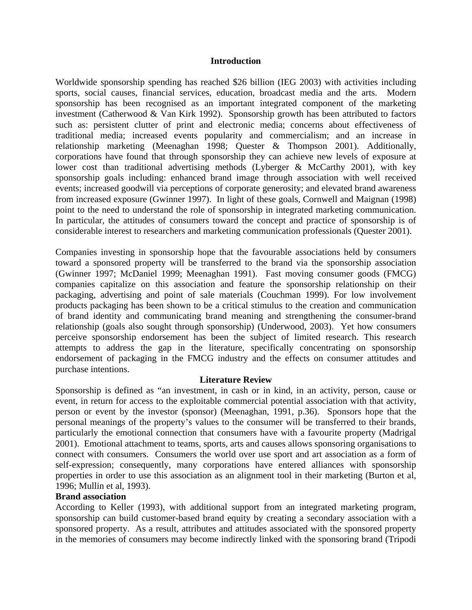#### **Introduction**

Worldwide sponsorship spending has reached \$26 billion (IEG 2003) with activities including sports, social causes, financial services, education, broadcast media and the arts. Modern sponsorship has been recognised as an important integrated component of the marketing investment (Catherwood & Van Kirk 1992). Sponsorship growth has been attributed to factors such as: persistent clutter of print and electronic media; concerns about effectiveness of traditional media; increased events popularity and commercialism; and an increase in relationship marketing (Meenaghan 1998; Quester & Thompson 2001). Additionally, corporations have found that through sponsorship they can achieve new levels of exposure at lower cost than traditional advertising methods (Lyberger & McCarthy 2001), with key sponsorship goals including: enhanced brand image through association with well received events; increased goodwill via perceptions of corporate generosity; and elevated brand awareness from increased exposure (Gwinner 1997). In light of these goals, Cornwell and Maignan (1998) point to the need to understand the role of sponsorship in integrated marketing communication. In particular, the attitudes of consumers toward the concept and practice of sponsorship is of considerable interest to researchers and marketing communication professionals (Quester 2001).

Companies investing in sponsorship hope that the favourable associations held by consumers toward a sponsored property will be transferred to the brand via the sponsorship association (Gwinner 1997; McDaniel 1999; Meenaghan 1991). Fast moving consumer goods (FMCG) companies capitalize on this association and feature the sponsorship relationship on their packaging, advertising and point of sale materials (Couchman 1999). For low involvement products packaging has been shown to be a critical stimulus to the creation and communication of brand identity and communicating brand meaning and strengthening the consumer-brand relationship (goals also sought through sponsorship) (Underwood, 2003). Yet how consumers perceive sponsorship endorsement has been the subject of limited research. This research attempts to address the gap in the literature, specifically concentrating on sponsorship endorsement of packaging in the FMCG industry and the effects on consumer attitudes and purchase intentions.

#### **Literature Review**

Sponsorship is defined as "an investment, in cash or in kind, in an activity, person, cause or event, in return for access to the exploitable commercial potential association with that activity, person or event by the investor (sponsor) (Meenaghan, 1991, p.36). Sponsors hope that the personal meanings of the property's values to the consumer will be transferred to their brands, particularly the emotional connection that consumers have with a favourite property (Madrigal 2001). Emotional attachment to teams, sports, arts and causes allows sponsoring organisations to connect with consumers. Consumers the world over use sport and art association as a form of self-expression; consequently, many corporations have entered alliances with sponsorship properties in order to use this association as an alignment tool in their marketing (Burton et al, 1996; Mullin et al, 1993).

### **Brand association**

According to Keller (1993), with additional support from an integrated marketing program, sponsorship can build customer-based brand equity by creating a secondary association with a sponsored property. As a result, attributes and attitudes associated with the sponsored property in the memories of consumers may become indirectly linked with the sponsoring brand (Tripodi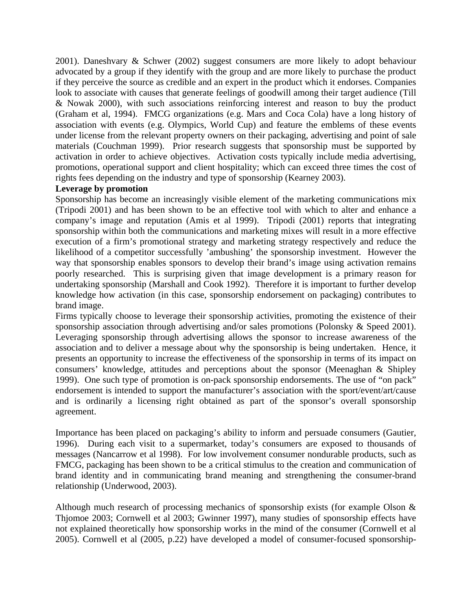2001). Daneshvary & Schwer (2002) suggest consumers are more likely to adopt behaviour advocated by a group if they identify with the group and are more likely to purchase the product if they perceive the source as credible and an expert in the product which it endorses. Companies look to associate with causes that generate feelings of goodwill among their target audience (Till & Nowak 2000), with such associations reinforcing interest and reason to buy the product (Graham et al, 1994). FMCG organizations (e.g. Mars and Coca Cola) have a long history of association with events (e.g. Olympics, World Cup) and feature the emblems of these events under license from the relevant property owners on their packaging, advertising and point of sale materials (Couchman 1999). Prior research suggests that sponsorship must be supported by activation in order to achieve objectives. Activation costs typically include media advertising, promotions, operational support and client hospitality; which can exceed three times the cost of rights fees depending on the industry and type of sponsorship (Kearney 2003).

# **Leverage by promotion**

Sponsorship has become an increasingly visible element of the marketing communications mix (Tripodi 2001) and has been shown to be an effective tool with which to alter and enhance a company's image and reputation (Amis et al 1999). Tripodi (2001) reports that integrating sponsorship within both the communications and marketing mixes will result in a more effective execution of a firm's promotional strategy and marketing strategy respectively and reduce the likelihood of a competitor successfully 'ambushing' the sponsorship investment. However the way that sponsorship enables sponsors to develop their brand's image using activation remains poorly researched. This is surprising given that image development is a primary reason for undertaking sponsorship (Marshall and Cook 1992). Therefore it is important to further develop knowledge how activation (in this case, sponsorship endorsement on packaging) contributes to brand image.

Firms typically choose to leverage their sponsorship activities, promoting the existence of their sponsorship association through advertising and/or sales promotions (Polonsky & Speed 2001). Leveraging sponsorship through advertising allows the sponsor to increase awareness of the association and to deliver a message about why the sponsorship is being undertaken. Hence, it presents an opportunity to increase the effectiveness of the sponsorship in terms of its impact on consumers' knowledge, attitudes and perceptions about the sponsor (Meenaghan & Shipley 1999). One such type of promotion is on-pack sponsorship endorsements. The use of "on pack" endorsement is intended to support the manufacturer's association with the sport/event/art/cause and is ordinarily a licensing right obtained as part of the sponsor's overall sponsorship agreement.

Importance has been placed on packaging's ability to inform and persuade consumers (Gautier, 1996). During each visit to a supermarket, today's consumers are exposed to thousands of messages (Nancarrow et al 1998). For low involvement consumer nondurable products, such as FMCG, packaging has been shown to be a critical stimulus to the creation and communication of brand identity and in communicating brand meaning and strengthening the consumer-brand relationship (Underwood, 2003).

Although much research of processing mechanics of sponsorship exists (for example Olson & Thjomoe 2003; Cornwell et al 2003; Gwinner 1997), many studies of sponsorship effects have not explained theoretically how sponsorship works in the mind of the consumer (Cornwell et al 2005). Cornwell et al (2005, p.22) have developed a model of consumer-focused sponsorship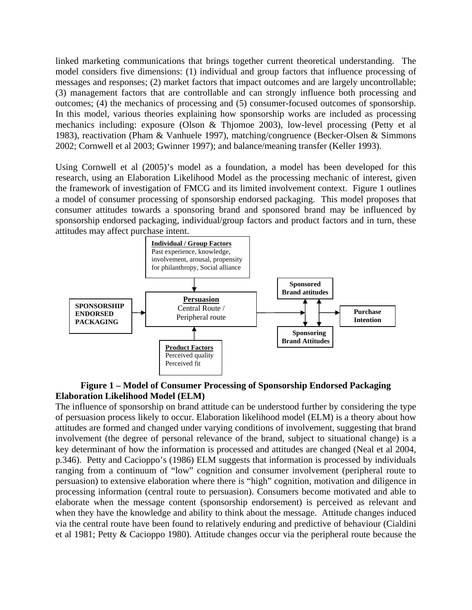linked marketing communications that brings together current theoretical understanding. The model considers five dimensions: (1) individual and group factors that influence processing of messages and responses; (2) market factors that impact outcomes and are largely uncontrollable; (3) management factors that are controllable and can strongly influence both processing and outcomes; (4) the mechanics of processing and (5) consumer-focused outcomes of sponsorship. In this model, various theories explaining how sponsorship works are included as processing mechanics including: exposure (Olson & Thjomoe 2003), low-level processing (Petty et al 1983), reactivation (Pham & Vanhuele 1997), matching/congruence (Becker-Olsen & Simmons 2002; Cornwell et al 2003; Gwinner 1997); and balance/meaning transfer (Keller 1993).

Using Cornwell et al (2005)'s model as a foundation, a model has been developed for this research, using an Elaboration Likelihood Model as the processing mechanic of interest, given the framework of investigation of FMCG and its limited involvement context. Figure 1 outlines a model of consumer processing of sponsorship endorsed packaging. This model proposes that consumer attitudes towards a sponsoring brand and sponsored brand may be influenced by sponsorship endorsed packaging, individual/group factors and product factors and in turn, these attitudes may affect purchase intent.



# **Figure 1 – Model of Consumer Processing of Sponsorship Endorsed Packaging Elaboration Likelihood Model (ELM)**

The influence of sponsorship on brand attitude can be understood further by considering the type of persuasion process likely to occur. Elaboration likelihood model (ELM) is a theory about how attitudes are formed and changed under varying conditions of involvement, suggesting that brand involvement (the degree of personal relevance of the brand, subject to situational change) is a key determinant of how the information is processed and attitudes are changed (Neal et al 2004, p.346). Petty and Cacioppo's (1986) ELM suggests that information is processed by individuals ranging from a continuum of "low" cognition and consumer involvement (peripheral route to persuasion) to extensive elaboration where there is "high" cognition, motivation and diligence in processing information (central route to persuasion). Consumers become motivated and able to elaborate when the message content (sponsorship endorsement) is perceived as relevant and when they have the knowledge and ability to think about the message. Attitude changes induced via the central route have been found to relatively enduring and predictive of behaviour (Cialdini et al 1981; Petty & Cacioppo 1980). Attitude changes occur via the peripheral route because the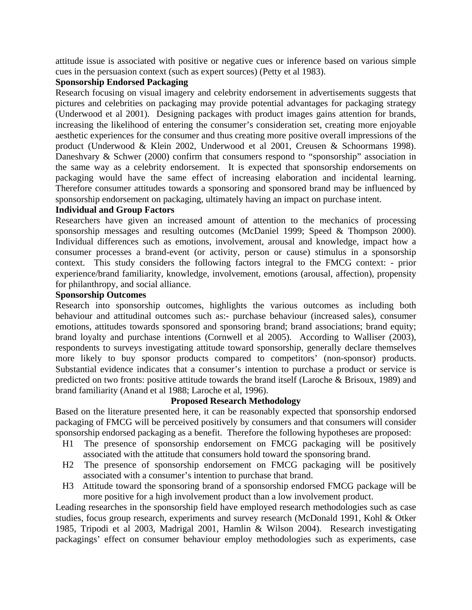attitude issue is associated with positive or negative cues or inference based on various simple cues in the persuasion context (such as expert sources) (Petty et al 1983).

# **Sponsorship Endorsed Packaging**

Research focusing on visual imagery and celebrity endorsement in advertisements suggests that pictures and celebrities on packaging may provide potential advantages for packaging strategy (Underwood et al 2001). Designing packages with product images gains attention for brands, increasing the likelihood of entering the consumer's consideration set, creating more enjoyable aesthetic experiences for the consumer and thus creating more positive overall impressions of the product (Underwood & Klein 2002, Underwood et al 2001, Creusen & Schoormans 1998). Daneshvary & Schwer (2000) confirm that consumers respond to "sponsorship" association in the same way as a celebrity endorsement. It is expected that sponsorship endorsements on packaging would have the same effect of increasing elaboration and incidental learning. Therefore consumer attitudes towards a sponsoring and sponsored brand may be influenced by sponsorship endorsement on packaging, ultimately having an impact on purchase intent.

# **Individual and Group Factors**

Researchers have given an increased amount of attention to the mechanics of processing sponsorship messages and resulting outcomes (McDaniel 1999; Speed & Thompson 2000). Individual differences such as emotions, involvement, arousal and knowledge, impact how a consumer processes a brand-event (or activity, person or cause) stimulus in a sponsorship context. This study considers the following factors integral to the FMCG context: - prior experience/brand familiarity, knowledge, involvement, emotions (arousal, affection), propensity for philanthropy, and social alliance.

# **Sponsorship Outcomes**

Research into sponsorship outcomes, highlights the various outcomes as including both behaviour and attitudinal outcomes such as:- purchase behaviour (increased sales), consumer emotions, attitudes towards sponsored and sponsoring brand; brand associations; brand equity; brand loyalty and purchase intentions (Cornwell et al 2005). According to Walliser (2003), respondents to surveys investigating attitude toward sponsorship, generally declare themselves more likely to buy sponsor products compared to competitors' (non-sponsor) products. Substantial evidence indicates that a consumer's intention to purchase a product or service is predicted on two fronts: positive attitude towards the brand itself (Laroche & Brisoux, 1989) and brand familiarity (Anand et al 1988; Laroche et al, 1996).

# **Proposed Research Methodology**

Based on the literature presented here, it can be reasonably expected that sponsorship endorsed packaging of FMCG will be perceived positively by consumers and that consumers will consider sponsorship endorsed packaging as a benefit. Therefore the following hypotheses are proposed:

- H1 The presence of sponsorship endorsement on FMCG packaging will be positively associated with the attitude that consumers hold toward the sponsoring brand.
- H2 The presence of sponsorship endorsement on FMCG packaging will be positively associated with a consumer's intention to purchase that brand.
- H3 Attitude toward the sponsoring brand of a sponsorship endorsed FMCG package will be more positive for a high involvement product than a low involvement product.

Leading researches in the sponsorship field have employed research methodologies such as case studies, focus group research, experiments and survey research (McDonald 1991, Kohl & Otker 1985, Tripodi et al 2003, Madrigal 2001, Hamlin & Wilson 2004). Research investigating packagings' effect on consumer behaviour employ methodologies such as experiments, case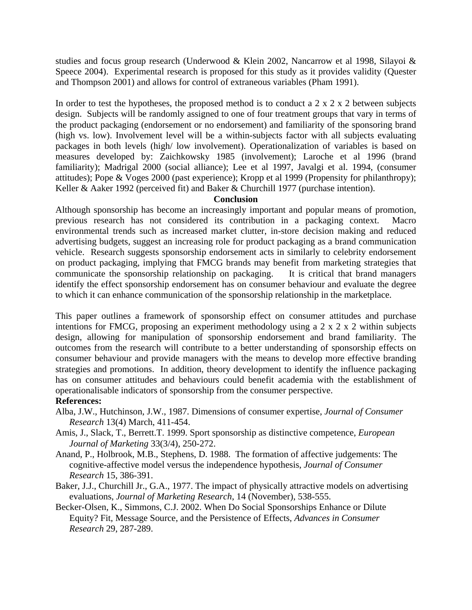studies and focus group research (Underwood & Klein 2002, Nancarrow et al 1998, Silayoi & Speece 2004). Experimental research is proposed for this study as it provides validity (Quester and Thompson 2001) and allows for control of extraneous variables (Pham 1991).

In order to test the hypotheses, the proposed method is to conduct a  $2 \times 2 \times 2$  between subjects design. Subjects will be randomly assigned to one of four treatment groups that vary in terms of the product packaging (endorsement or no endorsement) and familiarity of the sponsoring brand (high vs. low). Involvement level will be a within-subjects factor with all subjects evaluating packages in both levels (high/ low involvement). Operationalization of variables is based on measures developed by: Zaichkowsky 1985 (involvement); Laroche et al 1996 (brand familiarity); Madrigal 2000 (social alliance); Lee et al 1997, Javalgi et al. 1994, (consumer attitudes); Pope & Voges 2000 (past experience); Kropp et al 1999 (Propensity for philanthropy); Keller & Aaker 1992 (perceived fit) and Baker & Churchill 1977 (purchase intention).

# **Conclusion**

Although sponsorship has become an increasingly important and popular means of promotion, previous research has not considered its contribution in a packaging context. Macro environmental trends such as increased market clutter, in-store decision making and reduced advertising budgets, suggest an increasing role for product packaging as a brand communication vehicle. Research suggests sponsorship endorsement acts in similarly to celebrity endorsement on product packaging, implying that FMCG brands may benefit from marketing strategies that communicate the sponsorship relationship on packaging. It is critical that brand managers identify the effect sponsorship endorsement has on consumer behaviour and evaluate the degree to which it can enhance communication of the sponsorship relationship in the marketplace.

This paper outlines a framework of sponsorship effect on consumer attitudes and purchase intentions for FMCG, proposing an experiment methodology using a 2 x 2 x 2 within subjects design, allowing for manipulation of sponsorship endorsement and brand familiarity. The outcomes from the research will contribute to a better understanding of sponsorship effects on consumer behaviour and provide managers with the means to develop more effective branding strategies and promotions. In addition, theory development to identify the influence packaging has on consumer attitudes and behaviours could benefit academia with the establishment of operationalisable indicators of sponsorship from the consumer perspective.

# **References:**

- Alba, J.W., Hutchinson, J.W., 1987. Dimensions of consumer expertise, *Journal of Consumer Research* 13(4) March, 411-454.
- Amis, J., Slack, T., Berrett.T. 1999. Sport sponsorship as distinctive competence, *European Journal of Marketing* 33(3/4), 250-272.
- Anand, P., Holbrook, M.B., Stephens, D. 1988. The formation of affective judgements: The cognitive-affective model versus the independence hypothesis, *Journal of Consumer Research* 15, 386-391.
- Baker, J.J., Churchill Jr., G.A., 1977. The impact of physically attractive models on advertising evaluations, *Journal of Marketing Research*, 14 (November), 538-555.
- Becker-Olsen, K., Simmons, C.J. 2002. When Do Social Sponsorships Enhance or Dilute Equity? Fit, Message Source, and the Persistence of Effects, *Advances in Consumer Research* 29, 287-289.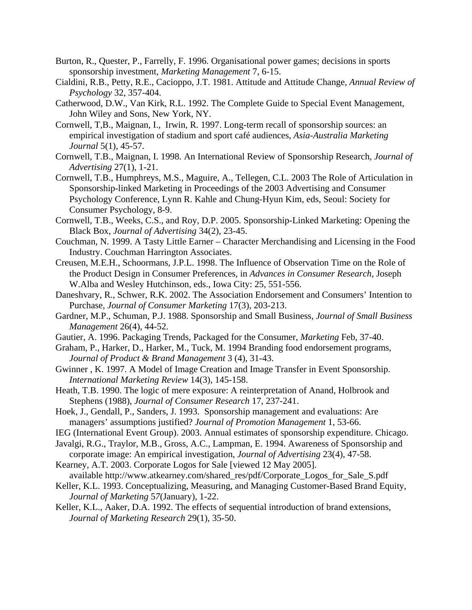- Burton, R., Quester, P., Farrelly, F. 1996. Organisational power games; decisions in sports sponsorship investment, *Marketing Management* 7, 6-15.
- Cialdini, R.B., Petty, R.E., Cacioppo, J.T. 1981. Attitude and Attitude Change, *Annual Review of Psychology* 32, 357-404.
- Catherwood, D.W., Van Kirk, R.L. 1992. The Complete Guide to Special Event Management, John Wiley and Sons, New York, NY.
- Cornwell, T,B., Maignan, I., Irwin, R. 1997. Long-term recall of sponsorship sources: an empirical investigation of stadium and sport café audiences, *Asia-Australia Marketing Journal* 5(1), 45-57.
- Cornwell, T.B., Maignan, I. 1998. An International Review of Sponsorship Research, *Journal of Advertising* 27(1), 1-21.
- Cornwell, T.B., Humphreys, M.S., Maguire, A., Tellegen, C.L. 2003 The Role of Articulation in Sponsorship-linked Marketing in Proceedings of the 2003 Advertising and Consumer Psychology Conference, Lynn R. Kahle and Chung-Hyun Kim, eds, Seoul: Society for Consumer Psychology, 8-9.
- Cornwell, T.B., Weeks, C.S., and Roy, D.P. 2005. Sponsorship-Linked Marketing: Opening the Black Box, *Journal of Advertising* 34(2), 23-45.
- Couchman, N. 1999. A Tasty Little Earner Character Merchandising and Licensing in the Food Industry. Couchman Harrington Associates.
- Creusen, M.E.H., Schoormans, J.P.L. 1998. The Influence of Observation Time on the Role of the Product Design in Consumer Preferences, in *Advances in Consumer Research,* Joseph W.Alba and Wesley Hutchinson, eds., Iowa City: 25, 551-556.
- Daneshvary, R., Schwer, R.K. 2002. The Association Endorsement and Consumers' Intention to Purchase, *Journal of Consumer Marketing* 17(3), 203-213.
- Gardner, M.P., Schuman, P.J. 1988. Sponsorship and Small Business, *Journal of Small Business Management* 26(4), 44-52.
- Gautier, A. 1996. Packaging Trends, Packaged for the Consumer, *Marketing* Feb, 37-40.
- Graham, P., Harker, D., Harker, M., Tuck, M. 1994 Branding food endorsement programs, *Journal of Product & Brand Management* 3 (4), 31-43.
- Gwinner , K. 1997. A Model of Image Creation and Image Transfer in Event Sponsorship. *International Marketing Review* 14(3), 145-158.
- Heath, T.B. 1990. The logic of mere exposure: A reinterpretation of Anand, Holbrook and Stephens (1988), *Journal of Consumer Research* 17, 237-241.
- Hoek, J., Gendall, P., Sanders, J. 1993. Sponsorship management and evaluations: Are managers' assumptions justified? *Journal of Promotion Management* 1, 53-66.
- IEG (International Event Group). 2003. Annual estimates of sponsorship expenditure. Chicago.
- Javalgi, R.G., Traylor, M.B., Gross, A.C., Lampman, E. 1994. Awareness of Sponsorship and corporate image: An empirical investigation, *Journal of Advertising* 23(4), 47-58.
- Kearney, A.T. 2003. Corporate Logos for Sale [viewed 12 May 2005]. available http://www.atkearney.com/shared\_res/pdf/Corporate\_Logos\_for\_Sale\_S.pdf
- Keller, K.L. 1993. Conceptualizing, Measuring, and Managing Customer-Based Brand Equity, *Journal of Marketing* 5*7*(January), 1-22.
- Keller, K.L., Aaker, D.A. 1992. The effects of sequential introduction of brand extensions, *Journal of Marketing Research* 29(1), 35-50.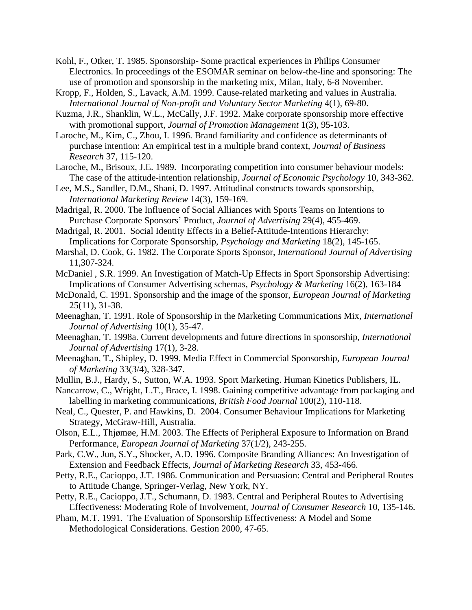- Kohl, F., Otker, T. 1985. Sponsorship- Some practical experiences in Philips Consumer Electronics. In proceedings of the ESOMAR seminar on below-the-line and sponsoring: The use of promotion and sponsorship in the marketing mix, Milan, Italy, 6-8 November.
- Kropp, F., Holden, S., Lavack, A.M. 1999. Cause-related marketing and values in Australia. *International Journal of Non-profit and Voluntary Sector Marketing* 4(1), 69-80.
- Kuzma, J.R., Shanklin, W.L., McCally, J.F. 1992. Make corporate sponsorship more effective with promotional support, *Journal of Promotion Management* 1(3), 95-103.
- Laroche, M., Kim, C., Zhou, I. 1996. Brand familiarity and confidence as determinants of purchase intention: An empirical test in a multiple brand context, *Journal of Business Research* 37, 115-120.
- Laroche, M., Brisoux, J.E. 1989. Incorporating competition into consumer behaviour models: The case of the attitude-intention relationship, *Journal of Economic Psychology* 10, 343-362.
- Lee, M.S., Sandler, D.M., Shani, D. 1997. Attitudinal constructs towards sponsorship, *International Marketing Review* 14(3), 159-169.
- Madrigal, R. 2000. The Influence of Social Alliances with Sports Teams on Intentions to Purchase Corporate Sponsors' Product, *Journal of Advertising* 29(4), 455-469.
- Madrigal, R. 2001. Social Identity Effects in a Belief-Attitude-Intentions Hierarchy: Implications for Corporate Sponsorship, *Psychology and Marketing* 18(2), 145-165.
- Marshal, D. Cook, G. 1982. The Corporate Sports Sponsor, *International Journal of Advertising*  11,307-324.
- McDaniel , S.R. 1999. An Investigation of Match-Up Effects in Sport Sponsorship Advertising: Implications of Consumer Advertising schemas, *Psychology & Marketing* 16(2), 163-184
- McDonald, C. 1991. Sponsorship and the image of the sponsor, *European Journal of Marketing* 25(11), 31-38.
- Meenaghan, T. 1991. Role of Sponsorship in the Marketing Communications Mix*, International Journal of Advertising* 10(1), 35-47.
- Meenaghan, T. 1998a. Current developments and future directions in sponsorship, *International Journal of Advertising* 17(1), 3-28.
- Meenaghan, T., Shipley, D. 1999. Media Effect in Commercial Sponsorship, *European Journal of Marketing* 33(3/4), 328-347.
- Mullin, B.J., Hardy, S., Sutton, W.A. 1993. Sport Marketing. Human Kinetics Publishers, IL.
- Nancarrow, C., Wright, L.T., Brace, I. 1998. Gaining competitive advantage from packaging and labelling in marketing communications, *British Food Journal* 100(2), 110-118.
- Neal, C., Quester, P. and Hawkins, D. 2004. Consumer Behaviour Implications for Marketing Strategy, McGraw-Hill, Australia.
- Olson, E.L., Thjømøe, H.M. 2003. The Effects of Peripheral Exposure to Information on Brand Performance, *European Journal of Marketing* 37(1/2), 243-255.
- Park, C.W., Jun, S.Y., Shocker, A.D. 1996. Composite Branding Alliances: An Investigation of Extension and Feedback Effects, *Journal of Marketing Research* 33, 453-466.
- Petty, R.E., Cacioppo, J.T. 1986. Communication and Persuasion: Central and Peripheral Routes to Attitude Change, Springer-Verlag, New York, NY.
- Petty, R.E., Cacioppo, J.T., Schumann, D. 1983. Central and Peripheral Routes to Advertising Effectiveness: Moderating Role of Involvement, *Journal of Consumer Research* 10, 135-146.
- Pham, M.T. 1991. The Evaluation of Sponsorship Effectiveness: A Model and Some Methodological Considerations. Gestion 2000, 47-65.